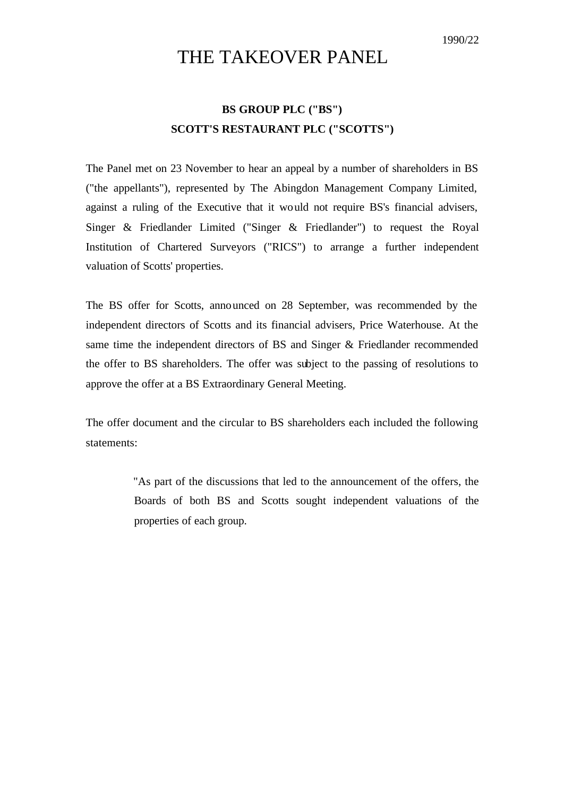## THE TAKEOVER PANEL

## **BS GROUP PLC ("BS") SCOTT'S RESTAURANT PLC ("SCOTTS")**

The Panel met on 23 November to hear an appeal by a number of shareholders in BS ("the appellants"), represented by The Abingdon Management Company Limited, against a ruling of the Executive that it would not require BS's financial advisers, Singer & Friedlander Limited ("Singer & Friedlander") to request the Royal Institution of Chartered Surveyors ("RICS") to arrange a further independent valuation of Scotts' properties.

The BS offer for Scotts, announced on 28 September, was recommended by the independent directors of Scotts and its financial advisers, Price Waterhouse. At the same time the independent directors of BS and Singer & Friedlander recommended the offer to BS shareholders. The offer was subject to the passing of resolutions to approve the offer at a BS Extraordinary General Meeting.

The offer document and the circular to BS shareholders each included the following statements:

> "As part of the discussions that led to the announcement of the offers, the Boards of both BS and Scotts sought independent valuations of the properties of each group.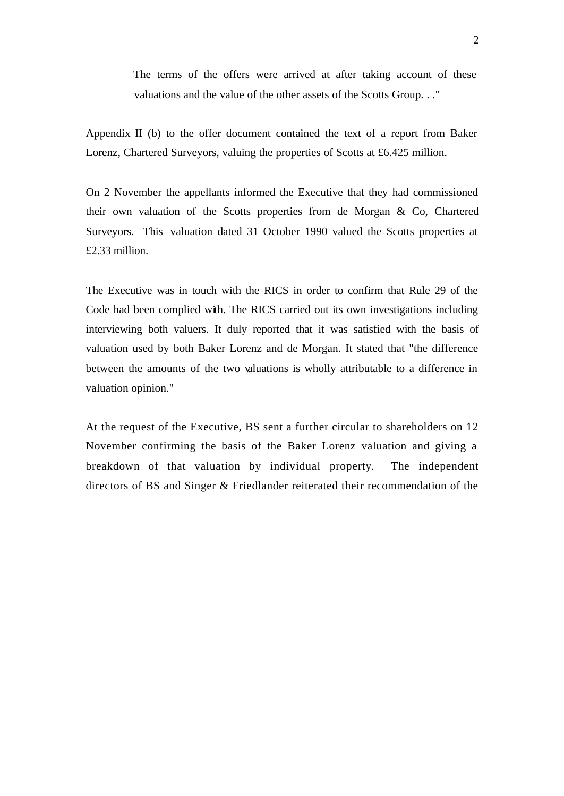The terms of the offers were arrived at after taking account of these valuations and the value of the other assets of the Scotts Group. . ."

Appendix II (b) to the offer document contained the text of a report from Baker Lorenz, Chartered Surveyors, valuing the properties of Scotts at £6.425 million.

On 2 November the appellants informed the Executive that they had commissioned their own valuation of the Scotts properties from de Morgan & Co, Chartered Surveyors. This valuation dated 31 October 1990 valued the Scotts properties at £2.33 million.

The Executive was in touch with the RICS in order to confirm that Rule 29 of the Code had been complied with. The RICS carried out its own investigations including interviewing both valuers. It duly reported that it was satisfied with the basis of valuation used by both Baker Lorenz and de Morgan. It stated that "the difference between the amounts of the two valuations is wholly attributable to a difference in valuation opinion."

At the request of the Executive, BS sent a further circular to shareholders on 12 November confirming the basis of the Baker Lorenz valuation and giving a breakdown of that valuation by individual property. The independent directors of BS and Singer & Friedlander reiterated their recommendation of the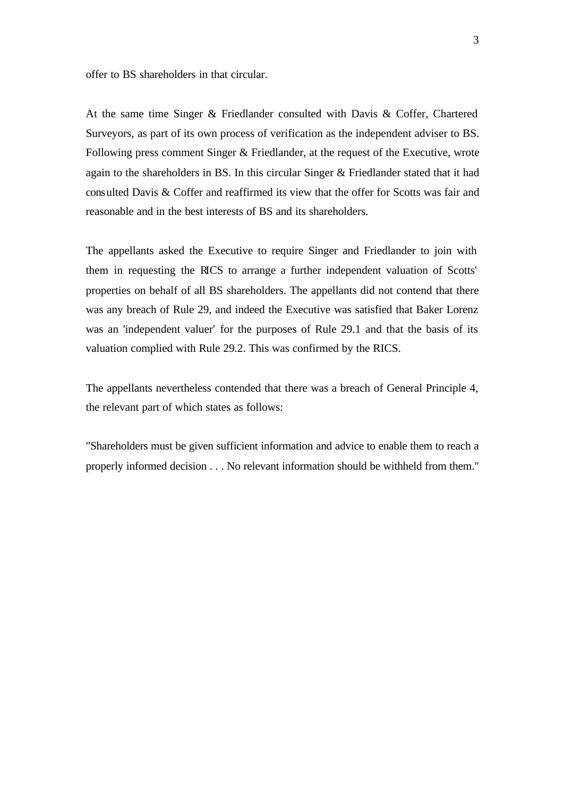offer to BS shareholders in that circular.

At the same time Singer & Friedlander consulted with Davis & Coffer, Chartered Surveyors, as part of its own process of verification as the independent adviser to BS. Following press comment Singer & Friedlander, at the request of the Executive, wrote again to the shareholders in BS. In this circular Singer & Friedlander stated that it had consulted Davis & Coffer and reaffirmed its view that the offer for Scotts was fair and reasonable and in the best interests of BS and its shareholders.

The appellants asked the Executive to require Singer and Friedlander to join with them in requesting the RICS to arrange a further independent valuation of Scotts' properties on behalf of all BS shareholders. The appellants did not contend that there was any breach of Rule 29, and indeed the Executive was satisfied that Baker Lorenz was an 'independent valuer' for the purposes of Rule 29.1 and that the basis of its valuation complied with Rule 29.2. This was confirmed by the RICS.

The appellants nevertheless contended that there was a breach of General Principle 4, the relevant part of which states as follows:

"Shareholders must be given sufficient information and advice to enable them to reach a properly informed decision . . . No relevant information should be withheld from them."